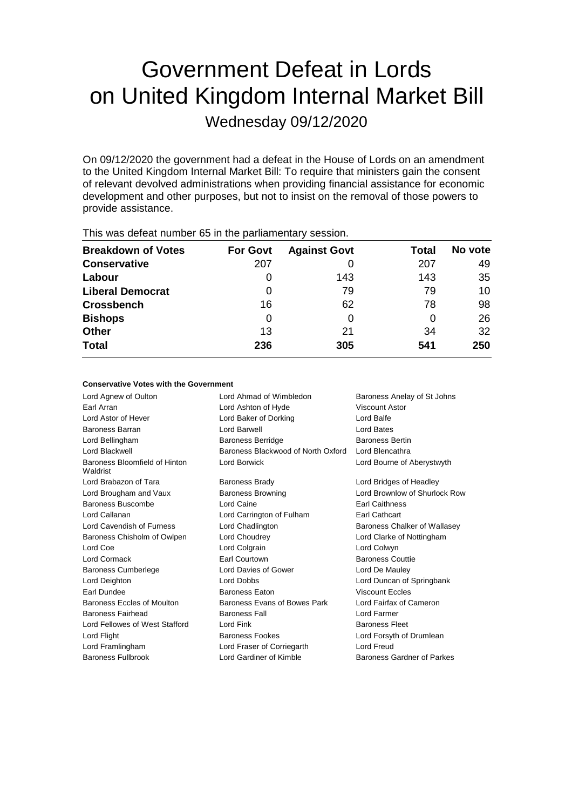# Government Defeat in Lords on United Kingdom Internal Market Bill

Wednesday 09/12/2020

On 09/12/2020 the government had a defeat in the House of Lords on an amendment to the United Kingdom Internal Market Bill: To require that ministers gain the consent of relevant devolved administrations when providing financial assistance for economic development and other purposes, but not to insist on the removal of those powers to provide assistance.

| This mas acteat harmoor oo in the paniamontary occordin |                 |                     |       |         |  |  |
|---------------------------------------------------------|-----------------|---------------------|-------|---------|--|--|
| <b>Breakdown of Votes</b>                               | <b>For Govt</b> | <b>Against Govt</b> | Total | No vote |  |  |
| <b>Conservative</b>                                     | 207             |                     | 207   | 49      |  |  |
| Labour                                                  |                 | 143                 | 143   | 35      |  |  |
| <b>Liberal Democrat</b>                                 | 0               | 79                  | 79    | 10      |  |  |
| <b>Crossbench</b>                                       | 16              | 62                  | 78    | 98      |  |  |
| <b>Bishops</b>                                          | 0               | 0                   |       | 26      |  |  |
| <b>Other</b>                                            | 13              | 21                  | 34    | 32      |  |  |
| <b>Total</b>                                            | 236             | 305                 | 541   | 250     |  |  |
|                                                         |                 |                     |       |         |  |  |

This was defeat number 65 in the parliamentary session.

# **Conservative Votes with the Government**

Lord Agnew of Oulton **Lord Ahmad of Wimbledon** Baroness Anelay of St Johns Earl Arran Lord Ashton of Hyde Viscount Astor Lord Astor of Hever Lord Baker of Dorking Lord Balfe Baroness Barran Lord Barwell Lord Bates Lord Bellingham **Baroness Berridge** Baroness Bertin Lord Blackwell Baroness Blackwood of North Oxford Lord Blencathra Baroness Bloomfield of Hinton Waldrist Lord Borwick Lord Bourne of Aberystwyth Lord Brabazon of Tara **Baroness Brady Communist Constructs** Lord Bridges of Headley Lord Brougham and Vaux Baroness Browning Cord Brownlow of Shurlock Row Baroness Buscombe **Lord Caine Earl Caithness** Lord Callanan Lord Carrington of Fulham Earl Cathcart Lord Cavendish of Furness **Lord Chadlington** Baroness Chalker of Wallasey Baroness Chisholm of Owlpen Lord Choudrey Chouse Lord Clarke of Nottingham Lord Coe **Lord Colgrain** Lord Colgrain Lord Colwyn Lord Cormack **Earl Courtown** Earl Courtown Baroness Couttie Baroness Cumberlege Lord Davies of Gower Lord De Mauley Lord Deighton Lord Dobbs Lord Duncan of Springbank Earl Dundee Baroness Eaton Viscount Eccles Baroness Eccles of Moulton Baroness Evans of Bowes Park Lord Fairfax of Cameron Baroness Fairhead Baroness Fall Lord Farmer Lord Fellowes of West Stafford Lord Fink **Baroness Fleet** Baroness Fleet Lord Flight **Baroness Fookes** Lord Forsyth of Drumlean Lord Framlingham Lord Fraser of Corriegarth Lord Freud Baroness Fullbrook Lord Gardiner of Kimble Baroness Gardner of Parkes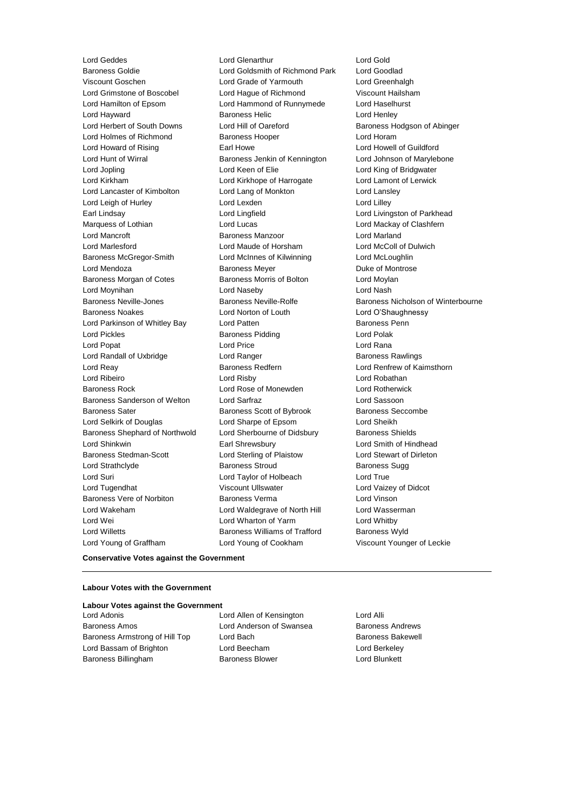Lord Geddes **Lord Genarthur** Lord Glenarthur Lord Gold<br>Baroness Goldie **Lord Gold Lord Goldsmith of Richmond Park** Lord Good Viscount Goschen Lord Grade of Yarmouth Lord Greenhalgh Lord Grimstone of Boscobel Lord Hague of Richmond Viscount Hailsham Lord Hamilton of Epsom Lord Hammond of Runnymede Lord Haselhurst Lord Hayward **Baroness Helic** Lord Henley Lord Herbert of South Downs Lord Hill of Oareford Baroness Hodgson of Abinger Lord Holmes of Richmond Baroness Hooper Lord Horam Lord Howard of Rising **Earl Howe Lord Howell of Guildford** Earl Howe **Lord Howell** of Guildford Lord Hunt of Wirral **Baroness Jenkin of Kennington** Lord Johnson of Marylebone Lord Jopling Lord Keen of Elie Lord King of Bridgwater Lord Kirkham Lord Kirkhope of Harrogate Lord Lamont of Lerwick Lord Lancaster of Kimbolton Lord Lang of Monkton Lord Lansley Lord Leigh of Hurley Lord Lexden Lord Lilley Earl Lindsay **Lord Lingfield** Lord Lingfield **Lord Lingfield** Lord Livingston of Parkhead Marquess of Lothian **Lord Lucas** Lord Lucas **Lord Mackay of Clashfern** Lord Mancroft Baroness Manzoor Lord Marland Lord Marlesford Lord Maude of Horsham Lord McColl of Dulwich Baroness McGregor-Smith Lord McInnes of Kilwinning Lord McLoughlin Lord Mendoza **Baroness Meyer** Baroness Meyer **Duke of Montrose** Baroness Morgan of Cotes **Baroness Morris of Bolton** Lord Moylan Lord Moynihan Lord Naseby Lord Nash Baroness Noakes Lord Norton of Louth Lord O'Shaughnessy Lord Parkinson of Whitley Bay **Lord Patten Communist Constructs** Baroness Penn Lord Pickles **Baroness Pidding** Lord Polak Lord Popat **Lord Price** Lord Price **Lord Rana** Lord Randall of Uxbridge **Lord Ranger** Lord Ranger **Baroness Rawlings** Lord Reay **Baroness Redfern Baroness Redfern** Lord Renfrew of Kaimsthorn Lord Ribeiro Lord Risby Lord Robathan Baroness Rock Lord Rose of Monewden Lord Rotherwick Baroness Sanderson of Welton Lord Sarfraz Lord Sassoon Baroness Sater **Baroness Scott of Bybrook** Baroness Seccombe Lord Selkirk of Douglas Lord Sharpe of Epsom Lord Sheikh Baroness Shephard of Northwold Lord Sherbourne of Didsbury Baroness Shields Lord Shinkwin Earl Shrewsbury Lord Smith of Hindhead Baroness Stedman-Scott **Lord Sterling of Plaistow** Lord Stewart of Dirleton Lord Strathclyde **Baroness Stroud** Baroness Sugg Lord Suri Lord Taylor of Holbeach Lord True Lord Tugendhat **Viscount Ullswater** Corresponding Lord Vaizey of Didcot Baroness Vere of Norbiton Baroness Verma Lord Vinson Lord Wakeham Lord Waldegrave of North Hill Lord Wasserman Lord Wei Lord Wharton of Yarm Lord Whitby Lord Willetts **Baroness Williams of Trafford** Baroness Wyld Lord Young of Graffham Lord Young of Cookham Viscount Younger of Leckie

Lord Goldsmith of Richmond Park Lord Goodlad

Baroness Neville-Jones Baroness Neville-Rolfe Baroness Nicholson of Winterbourne

### **Conservative Votes against the Government**

#### **Labour Votes with the Government**

# **Labour Votes against the Government**

Baroness Amos **Example 2** Lord Anderson of Swansea Baroness Andrews Baroness Armstrong of Hill Top Lord Bach Baroness Bakewell Lord Bassam of Brighton Lord Beecham Lord Berkeley Baroness Billingham Baroness Blower Lord Blunkett

Lord Adonis Lord Allen of Kensington Lord Alli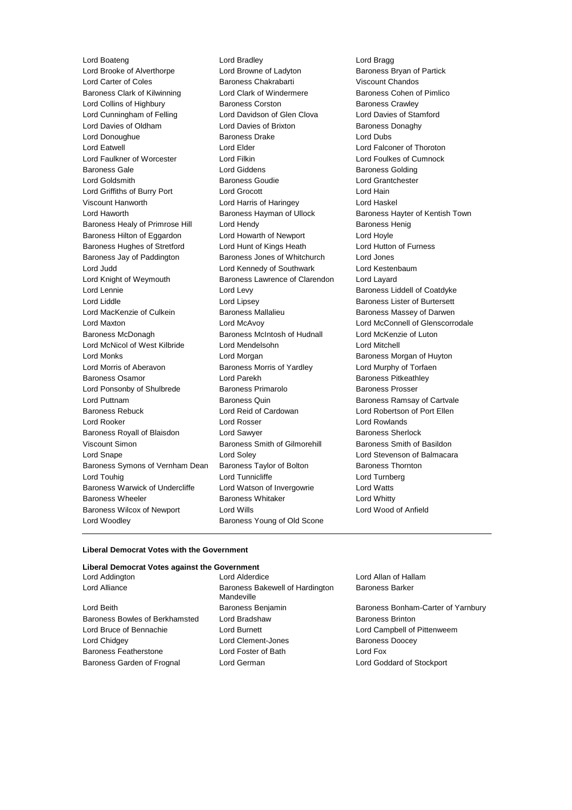Lord Boateng Lord Bradley Cord Brack Lord Bragg<br>
Lord Brooke of Alverthorpe Lord Browne of Ladyton Cord Brookes Bryan of Partick Lord Brooke of Alverthorpe Lord Browne of Ladyton Lord Carter of Coles Baroness Chakrabarti Viscount Chandos Baroness Clark of Kilwinning **Lord Clark of Windermere** Baroness Cohen of Pimlico Lord Collins of Highbury **Baroness Corston** Baroness Crawley Lord Cunningham of Felling Lord Davidson of Glen Clova Lord Davies of Stamford Lord Davies of Oldham Lord Davies of Brixton Baroness Donaghy Lord Donoughue Baroness Drake Lord Dubs Lord Eatwell Lord Elder Lord Falconer of Thoroton Lord Faulkner of Worcester Lord Filkin Lord Foulkes of Cumnock Baroness Gale **Lord Giddens** Baroness Golding Lord Goldsmith Baroness Goudie Lord Grantchester Lord Griffiths of Burry Port Lord Grocott Lord Hain Viscount Hanworth Lord Harris of Haringey Lord Haskel Lord Haworth **Baroness Hayman of Ullock** Baroness Hayter of Kentish Town Baroness Healy of Primrose Hill Lord Hendy **Baroness Henig** Baroness Henig Baroness Hilton of Eggardon Lord Howarth of Newport Lord Hoyle Baroness Hughes of Stretford Lord Hunt of Kings Heath Lord Hutton of Furness Baroness Jay of Paddington Baroness Jones of Whitchurch Lord Jones Lord Judd Lord Kennedy of Southwark Lord Kestenbaum Lord Knight of Weymouth Baroness Lawrence of Clarendon Lord Layard Lord Lennie Lord Levy Baroness Liddell of Coatdyke Lord Liddle Lord Lipsey Baroness Lister of Burtersett Lord MacKenzie of Culkein **Baroness Mallalieu** Baroness Massey of Darwen Lord Maxton Lord McAvoy Lord McConnell of Glenscorrodale Baroness McDonagh Baroness McIntosh of Hudnall Lord McKenzie of Luton Lord McNicol of West Kilbride Lord Mendelsohn Lord Mitchell Lord Monks Lord Morgan Baroness Morgan of Huyton Lord Morris of Aberavon Baroness Morris of Yardley Lord Murphy of Torfaen Baroness Osamor **Baroness Community** Lord Parekh Baroness Pitkeathley Lord Ponsonby of Shulbrede Baroness Primarolo Baroness Prosser Lord Puttnam Baroness Quin Baroness Ramsay of Cartvale Baroness Rebuck Lord Reid of Cardowan Lord Robertson of Port Ellen Lord Rooker Lord Rosser Lord Rowlands Baroness Royall of Blaisdon **Lord Sawyer Baroness Sherlock Baroness** Sherlock Viscount Simon **Baroness Smith of Gilmorehill** Baroness Smith of Basildon Lord Snape Lord Soley Lord Stevenson of Balmacara Baroness Symons of Vernham Dean Baroness Taylor of Bolton Baroness Thornton Lord Touhig Lord Tunnicliffe Lord Turnberg Baroness Warwick of Undercliffe Lord Watson of Invergowrie Lord Watts Baroness Wheeler **Baroness Whitaker Baroness Whitaker** Lord Whitty Baroness Wilcox of Newport Lord Wills Lord Wood of Anfield Lord Woodley **Baroness Young of Old Scone** 

### **Liberal Democrat Votes with the Government**

|  | Liberal Democrat Votes against the Government |
|--|-----------------------------------------------|
|  |                                               |

| Lord Addington                 | Lord Alderdice                                | Lord Allan of Hallam               |  |
|--------------------------------|-----------------------------------------------|------------------------------------|--|
| Lord Alliance                  | Baroness Bakewell of Hardington<br>Mandeville | <b>Baroness Barker</b>             |  |
| Lord Beith                     | Baroness Benjamin                             | Baroness Bonham-Carter of Yarnbury |  |
| Baroness Bowles of Berkhamsted | Lord Bradshaw                                 | <b>Baroness Brinton</b>            |  |
| Lord Bruce of Bennachie        | Lord Burnett                                  | Lord Campbell of Pittenweem        |  |
| Lord Chidgey                   | Lord Clement-Jones                            | <b>Baroness Doocey</b>             |  |
| <b>Baroness Featherstone</b>   | Lord Foster of Bath                           | Lord Fox                           |  |
| Baroness Garden of Frognal     | Lord German                                   | Lord Goddard of Stockport          |  |
|                                |                                               |                                    |  |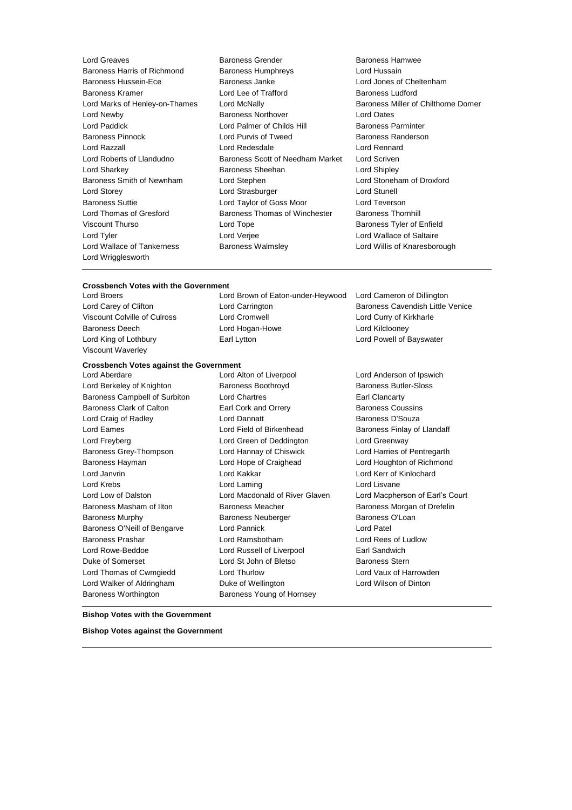- Lord Wrigglesworth
- Lord Greaves Baroness Grender Baroness Hamwee Baroness Harris of Richmond Baroness Humphreys Lord Hussain Baroness Hussein-Ece Baroness Janke Lord Jones of Cheltenham Baroness Kramer Lord Lee of Trafford Baroness Ludford Lord Newby Baroness Northover Lord Oates Lord Paddick **Lord Palmer of Childs Hill Baroness Parminter** Baroness Pinnock Lord Purvis of Tweed Baroness Randerson Lord Razzall Lord Redesdale Lord Rennard Lord Roberts of Llandudno Baroness Scott of Needham Market Lord Scriven Lord Sharkey **Baroness Sheehan** Lord Shipley **Constants** Baroness Smith of Newnham Lord Stephen Lord Stoneham of Droxford Lord Storey **Lord Strasburger** Lord Strasburger **Lord Strasburger** Lord Stunell Baroness Suttie Lord Taylor of Goss Moor Lord Teverson Lord Thomas of Gresford Baroness Thomas of Winchester Baroness Thornhill Viscount Thurso **Communist Constructs** Lord Tope **Baroness Tyler of Enfield** Lord Tyler Lord Verjee Lord Wallace of Saltaire Lord Wallace of Tankerness Baroness Walmsley Lord Willis of Knaresborough
- Lord Marks of Henley-on-Thames Lord McNally **Baroness Miller of Chilthorne Domer**

## **Crossbench Votes with the Government**

Viscount Waverley

Lord Broers Lord Brown of Eaton-under-Heywood Lord Cameron of Dillington Lord Carey of Clifton **Lord Carrington** Lord Carrington **Baroness Cavendish Little Venice** Viscount Colville of Culross Lord Cromwell Lord Curry of Kirkharle Baroness Deech Lord Hogan-Howe Lord Kilclooney Lord King of Lothbury **Earl Lytton** Earl Lytton **Lord Powell of Bayswater** 

## **Crossbench Votes against the Government**

Lord Berkeley of Knighton Baroness Boothroyd Baroness Butler-Sloss Baroness Campbell of Surbiton Lord Chartres Earl Clancarty Baroness Clark of Calton **Earl Cork and Orrery Baroness Coussins Baroness Coussins** Lord Craig of Radley **Lord Dannatt Lord Dannatt** Baroness D'Souza Lord Eames **Lord Field of Birkenhead** Baroness Finlay of Llandaff Lord Freyberg Lord Green of Deddington Lord Greenway Baroness Grey-Thompson Lord Hannay of Chiswick Lord Harries of Pentregarth Baroness Hayman Lord Hope of Craighead Lord Houghton of Richmond Lord Janvrin Lord Kakkar Lord Kerr of Kinlochard Lord Krebs **Lord Laming** Lord Laming Lord Lisvane Lord Low of Dalston Lord Macdonald of River Glaven Lord Macpherson of Earl's Court Baroness Masham of Ilton **Baroness Meacher Baroness Meacher** Baroness Morgan of Drefelin Baroness Murphy **Baroness Neuberger** Baroness O'Loan Baroness O'Neill of Bengarve Lord Pannick Cord Patel Baroness Prashar Lord Ramsbotham Lord Rees of Ludlow Lord Rowe-Beddoe Lord Russell of Liverpool Earl Sandwich Duke of Somerset **Lord St John of Bletso** Baroness Stern Lord Thomas of Cwmgiedd Lord Thurlow Lord Vaux of Harrowden Lord Walker of Aldringham Duke of Wellington Lord Wilson of Dinton Baroness Worthington Baroness Young of Hornsey

Lord Aberdare Lord Alton of Liverpool Lord Anderson of Ipswich

## **Bishop Votes with the Government**

**Bishop Votes against the Government**